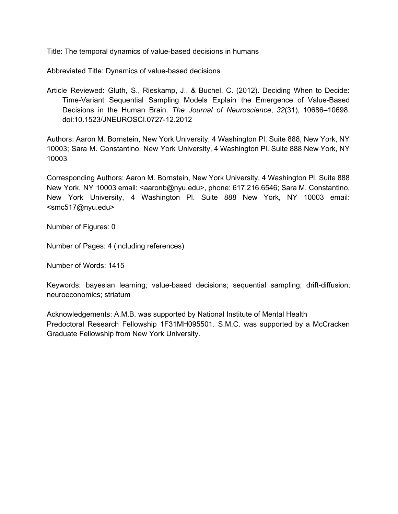Title: The temporal dynamics of value-based decisions in humans

Abbreviated Title: Dynamics of value-based decisions

Article Reviewed: Gluth, S., Rieskamp, J., & Buchel, C. (2012). Deciding When to Decide: Time-Variant Sequential Sampling Models Explain the Emergence of Value-Based Decisions in the Human Brain. *The Journal of Neuroscience*, *32*(31), 10686–10698. doi:10.1523/JNEUROSCI.072712.2012

Authors: Aaron M. Bornstein, New York University, 4 Washington Pl. Suite 888, New York, NY 10003; Sara M. Constantino, New York University, 4 Washington Pl. Suite 888 New York, NY 10003

Corresponding Authors: Aaron M. Bornstein, New York University, 4 Washington Pl. Suite 888 New York, NY 10003 email: <aaronb@nyu.edu>, phone: 617.216.6546; Sara M. Constantino, New York University, 4 Washington Pl. Suite 888 New York, NY 10003 email: <smc517@nyu.edu>

Number of Figures: 0

Number of Pages: 4 (including references)

Number of Words: 1415

Keywords: bayesian learning; value-based decisions; sequential sampling; drift-diffusion; neuroeconomics; striatum

Acknowledgements: A.M.B. was supported by National Institute of Mental Health Predoctoral Research Fellowship 1F31MH095501. S.M.C. was supported by a McCracken Graduate Fellowship from New York University.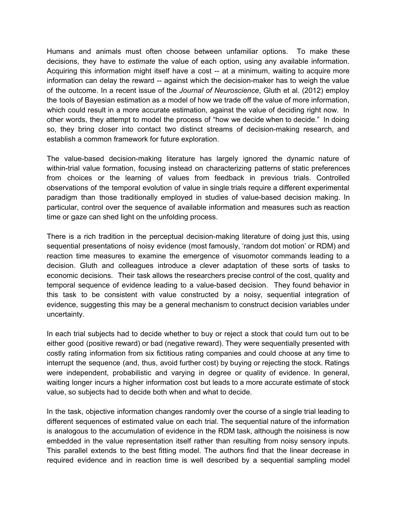Humans and animals must often choose between unfamiliar options. To make these decisions, they have to *estimate* the value of each option, using any available information. Acquiring this information might itself have a cost -- at a minimum, waiting to acquire more information can delay the reward -- against which the decision-maker has to weigh the value of the outcome. In a recent issue of the *Journal of Neuroscience*, Gluth et al. (2012) employ the tools of Bayesian estimation as a model of how we trade off the value of more information, which could result in a more accurate estimation, against the value of deciding right now. In other words, they attempt to model the process of "how we decide when to decide." In doing so, they bring closer into contact two distinct streams of decision-making research, and establish a common framework for future exploration.

The value-based decision-making literature has largely ignored the dynamic nature of within-trial value formation, focusing instead on characterizing patterns of static preferences from choices or the learning of values from feedback in previous trials. Controlled observations of the temporal evolution of value in single trials require a different experimental paradigm than those traditionally employed in studies of value-based decision making. In particular, control over the sequence of available information and measures such as reaction time or gaze can shed light on the unfolding process.

There is a rich tradition in the perceptual decision-making literature of doing just this, using sequential presentations of noisy evidence (most famously, 'random dot motion' or RDM) and reaction time measures to examine the emergence of visuomotor commands leading to a decision. Gluth and colleagues introduce a clever adaptation of these sorts of tasks to economic decisions. Their task allows the researchers precise control of the cost, quality and temporal sequence of evidence leading to a value-based decision. They found behavior in this task to be consistent with value constructed by a noisy, sequential integration of evidence, suggesting this may be a general mechanism to construct decision variables under uncertainty.

In each trial subjects had to decide whether to buy or reject a stock that could turn out to be either good (positive reward) or bad (negative reward). They were sequentially presented with costly rating information from six fictitious rating companies and could choose at any time to interrupt the sequence (and, thus, avoid further cost) by buying or rejecting the stock. Ratings were independent, probabilistic and varying in degree or quality of evidence. In general, waiting longer incurs a higher information cost but leads to a more accurate estimate of stock value, so subjects had to decide both when and what to decide.

In the task, objective information changes randomly over the course of a single trial leading to different sequences of estimated value on each trial. The sequential nature of the information is analogous to the accumulation of evidence in the RDM task, although the noisiness is now embedded in the value representation itself rather than resulting from noisy sensory inputs. This parallel extends to the best fitting model. The authors find that the linear decrease in required evidence and in reaction time is well described by a sequential sampling model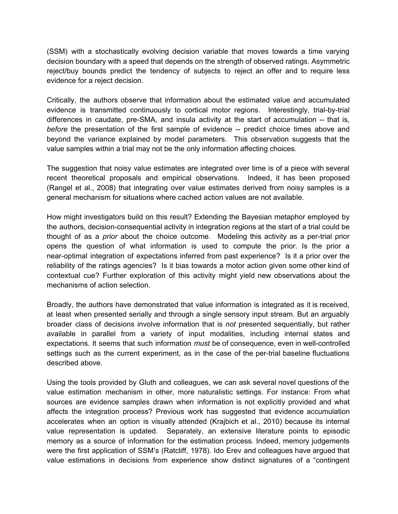(SSM) with a stochastically evolving decision variable that moves towards a time varying decision boundary with a speed that depends on the strength of observed ratings. Asymmetric reject/buy bounds predict the tendency of subjects to reject an offer and to require less evidence for a reject decision.

Critically, the authors observe that information about the estimated value and accumulated evidence is transmitted continuously to cortical motor regions. Interestingly, trial-by-trial differences in caudate, pre-SMA, and insula activity at the start of accumulation  $-$  that is, *before* the presentation of the first sample of evidence -- predict choice times above and beyond the variance explained by model parameters. This observation suggests that the value samples within a trial may not be the only information affecting choices.

The suggestion that noisy value estimates are integrated over time is of a piece with several recent theoretical proposals and empirical observations. Indeed, it has been proposed (Rangel et al., 2008) that integrating over value estimates derived from noisy samples is a general mechanism for situations where cached action values are not available.

How might investigators build on this result? Extending the Bayesian metaphor employed by the authors, decision-consequential activity in integration regions at the start of a trial could be thought of as a *prior* about the choice outcome. Modeling this activity as a per-trial prior opens the question of what information is used to compute the prior. Is the prior a near-optimal integration of expectations inferred from past experience? Is it a prior over the reliability of the ratings agencies? Is it bias towards a motor action given some other kind of contextual cue? Further exploration of this activity might yield new observations about the mechanisms of action selection.

Broadly, the authors have demonstrated that value information is integrated as it is received, at least when presented serially and through a single sensory input stream. But an arguably broader class of decisions involve information that is *not* presented sequentially, but rather available in parallel from a variety of input modalities, including internal states and expectations. It seems that such information *must* be of consequence, even in well-controlled settings such as the current experiment, as in the case of the per-trial baseline fluctuations described above.

Using the tools provided by Gluth and colleagues, we can ask several novel questions of the value estimation mechanism in other, more naturalistic settings. For instance: From what sources are evidence samples drawn when information is not explicitly provided and what affects the integration process? Previous work has suggested that evidence accumulation accelerates when an option is visually attended (Krajbich et al., 2010) because its internal value representation is updated. Separately, an extensive literature points to episodic memory as a source of information for the estimation process. Indeed, memory judgements were the first application of SSM's (Ratcliff, 1978). Ido Erev and colleagues have argued that value estimations in decisions from experience show distinct signatures of a "contingent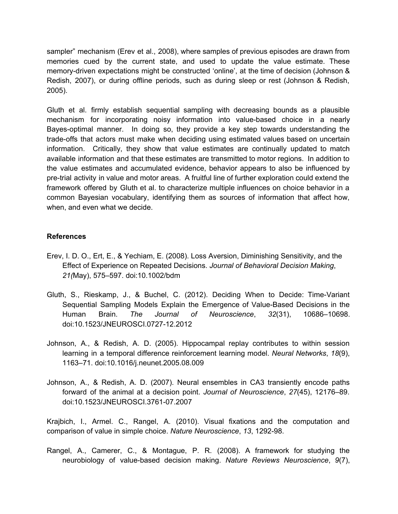sampler" mechanism (Erev et al., 2008), where samples of previous episodes are drawn from memories cued by the current state, and used to update the value estimate. These memory-driven expectations might be constructed 'online', at the time of decision (Johnson & Redish, 2007), or during offline periods, such as during sleep or rest (Johnson & Redish, 2005).

Gluth et al. firmly establish sequential sampling with decreasing bounds as a plausible mechanism for incorporating noisy information into valuebased choice in a nearly Bayes-optimal manner. In doing so, they provide a key step towards understanding the trade-offs that actors must make when deciding using estimated values based on uncertain information. Critically, they show that value estimates are continually updated to match available information and that these estimates are transmitted to motor regions. In addition to the value estimates and accumulated evidence, behavior appears to also be influenced by pre-trial activity in value and motor areas. A fruitful line of further exploration could extend the framework offered by Gluth et al. to characterize multiple influences on choice behavior in a common Bayesian vocabulary, identifying them as sources of information that affect how, when, and even what we decide.

## **References**

- Erev, I. D. O., Ert, E., & Yechiam, E. (2008). Loss Aversion, Diminishing Sensitivity, and the Effect of Experience on Repeated Decisions. *Journal of Behavioral Decision Making*, *21(*May), 575–597. doi:10.1002/bdm
- Gluth, S., Rieskamp, J., & Buchel, C. (2012). Deciding When to Decide: Time-Variant Sequential Sampling Models Explain the Emergence of Value-Based Decisions in the Human Brain. *The Journal of Neuroscience*, *32*(31), 10686–10698. doi:10.1523/JNEUROSCI.072712.2012
- Johnson, A., & Redish, A. D. (2005). Hippocampal replay contributes to within session learning in a temporal difference reinforcement learning model. *Neural Networks*, *18*(9), 1163–71. doi:10.1016/j.neunet.2005.08.009
- Johnson, A., & Redish, A. D. (2007). Neural ensembles in CA3 transiently encode paths forward of the animal at a decision point. *Journal of Neuroscience*, *27*(45), 12176–89. doi:10.1523/JNEUROSCI.3761-07.2007

Krajbich, I., Armel. C., Rangel, A. (2010). Visual fixations and the computation and comparison of value in simple choice. *Nature Neuroscience*, 13, 1292-98.

Rangel, A., Camerer, C., & Montague, P. R. (2008). A framework for studying the neurobiology of valuebased decision making. *Nature Reviews Neuroscience*, *9*(7),